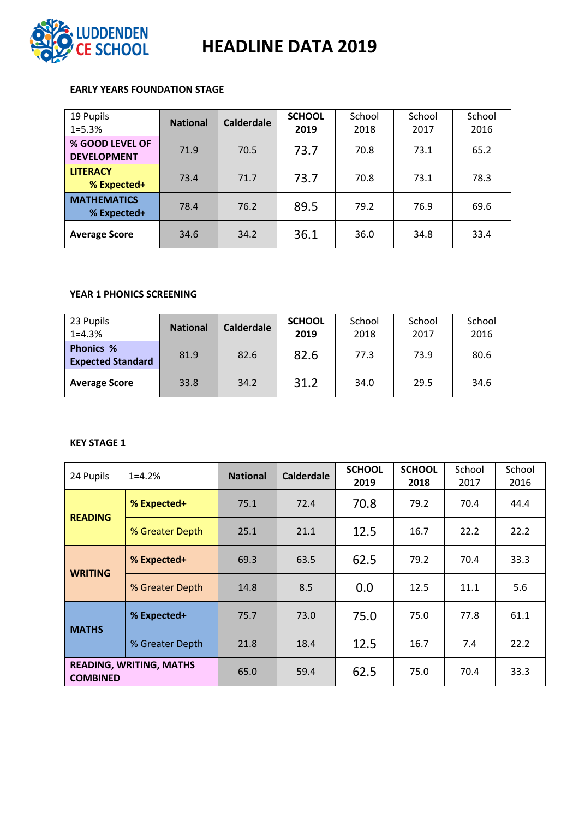

# LUDDENDEN<br>CE SCHOOL HEADLINE DATA 2019

## **EARLY YEARS FOUNDATION STAGE**

| 19 Pupils<br>$1 = 5.3%$               | <b>National</b> | <b>Calderdale</b> | <b>SCHOOL</b><br>2019 | School<br>2018 | School<br>2017 | School<br>2016 |
|---------------------------------------|-----------------|-------------------|-----------------------|----------------|----------------|----------------|
| % GOOD LEVEL OF<br><b>DEVELOPMENT</b> | 71.9            | 70.5              | 73.7                  | 70.8           | 73.1           | 65.2           |
| <b>LITERACY</b><br>% Expected+        | 73.4            | 71.7              | 73.7                  | 70.8           | 73.1           | 78.3           |
| <b>MATHEMATICS</b><br>% Expected+     | 78.4            | 76.2              | 89.5                  | 79.2           | 76.9           | 69.6           |
| <b>Average Score</b>                  | 34.6            | 34.2              | 36.1                  | 36.0           | 34.8           | 33.4           |

## **YEAR 1 PHONICS SCREENING**

| 23 Pupils<br>$1 = 4.3%$                      | <b>National</b> | <b>Calderdale</b> | <b>SCHOOL</b><br>2019 | School<br>2018 | School<br>2017 | School<br>2016 |
|----------------------------------------------|-----------------|-------------------|-----------------------|----------------|----------------|----------------|
| <b>Phonics %</b><br><b>Expected Standard</b> | 81.9            | 82.6              | 82.6                  | 77.3           | 73.9           | 80.6           |
| <b>Average Score</b>                         | 33.8            | 34.2              | 31.2                  | 34.0           | 29.5           | 34.6           |

#### **KEY STAGE 1**

| 24 Pupils                                         | $1 = 4.2%$      | <b>National</b> | <b>Calderdale</b> | <b>SCHOOL</b><br>2019 | <b>SCHOOL</b><br>2018 | School<br>2017 | School<br>2016 |
|---------------------------------------------------|-----------------|-----------------|-------------------|-----------------------|-----------------------|----------------|----------------|
| <b>READING</b>                                    | % Expected+     | 75.1            | 72.4              | 70.8                  | 79.2                  | 70.4           | 44.4           |
|                                                   | % Greater Depth | 25.1            | 21.1              | 12.5                  | 16.7                  | 22.2           | 22.2           |
| <b>WRITING</b>                                    | % Expected+     | 69.3            | 63.5              | 62.5                  | 79.2                  | 70.4           | 33.3           |
|                                                   | % Greater Depth | 14.8            | 8.5               | 0.0                   | 12.5                  | 11.1           | 5.6            |
| <b>MATHS</b>                                      | % Expected+     | 75.7            | 73.0              | 75.0                  | 75.0                  | 77.8           | 61.1           |
|                                                   | % Greater Depth | 21.8            | 18.4              | 12.5                  | 16.7                  | 7.4            | 22.2           |
| <b>READING, WRITING, MATHS</b><br><b>COMBINED</b> |                 | 65.0            | 59.4              | 62.5                  | 75.0                  | 70.4           | 33.3           |